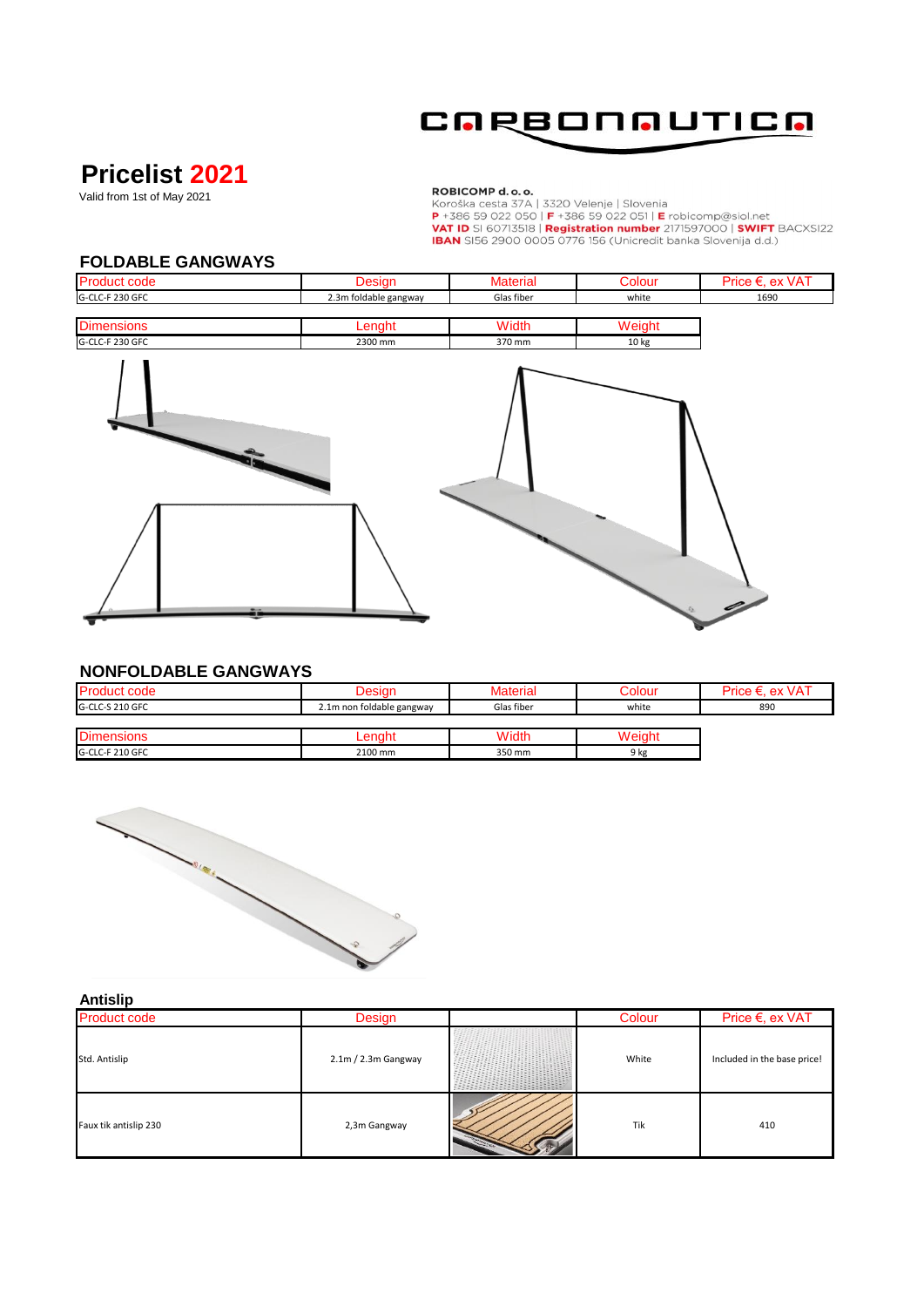

# **Pricelist 2021**

Valid from 1st of May 2021

**ROBICOMP d.o.o.**<br>Koroška cesta 37A | 3320 Velenje | Slovenia<br>P +386 59 022 050 | F +386 59 022 051 | E robicomp@siol.net<br>VAT ID SI 60713518 | Registration number 2171597000 | SWIFT BACXSI22<br>IBAN SI56 2900 0005 0776 156 (U

#### **FOLDABLE GANGWAYS**

| <b>Product code</b> | Jesiar                | <b>Material</b> | olour;           | Price €. ex VAT |
|---------------------|-----------------------|-----------------|------------------|-----------------|
| G-CLC-F 230 GFC     | 2.3m foldable gangway | Glas fiber      | white            | 1690            |
|                     |                       |                 |                  |                 |
| <b>Dimensions</b>   |                       | Width           | Neiał            |                 |
| G-CLC-F 230 GFC     | 2300 mm               | 370 mm          | 10 <sub>kg</sub> |                 |



### **NONFOLDABLE GANGWAYS**

| <b>Product code</b> |                           | Material   | ;olour        | Price €. ex VAT |
|---------------------|---------------------------|------------|---------------|-----------------|
| G-CLC-S 210 GFC     | 2.1m non foldable gangway | Glas fiber | white         | 890             |
|                     |                           |            |               |                 |
| <b>Dimensions</b>   |                           | Width      | <b>Weiaht</b> |                 |
| G-CLC-F 210 GFC     | 2100 mm                   | 350 mm     | 9 kg          |                 |



#### **Antislip**

| .<br><b>Product code</b> | Design                | Colour | Price €, ex VAT             |
|--------------------------|-----------------------|--------|-----------------------------|
| Std. Antislip            | $2.1m / 2.3m$ Gangway | White  | Included in the base price! |
| Faux tik antislip 230    | 2,3m Gangway          | Tik    | 410                         |